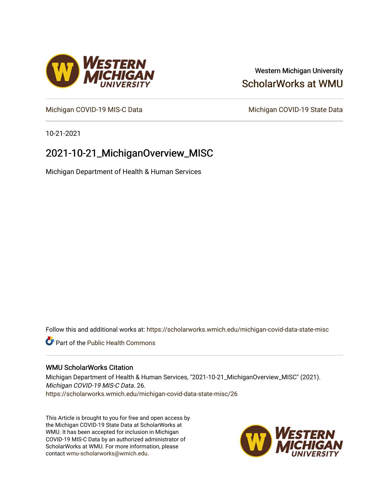# Western Michigan University [ScholarWorks at WMU](https://scholarworks.wmich.edu/)

[Michigan COVID-19 MIS-C Data](https://scholarworks.wmich.edu/michigan-covid-data-state-misc) Michigan COVID-19 State Data

10-21-2021

# 2021-10-21\_MichiganOverview\_MISC

Michigan Department of Health & Human Services

Follow this and additional works at: [https://scholarworks.wmich.edu/michigan-covid-data-state-misc](https://scholarworks.wmich.edu/michigan-covid-data-state-misc?utm_source=scholarworks.wmich.edu%2Fmichigan-covid-data-state-misc%2F26&utm_medium=PDF&utm_campaign=PDFCoverPages) 

**Part of the Public Health Commons** 

### WMU ScholarWorks Citation

Michigan Department of Health & Human Services, "2021-10-21\_MichiganOverview\_MISC" (2021). Michigan COVID-19 MIS-C Data. 26. [https://scholarworks.wmich.edu/michigan-covid-data-state-misc/26](https://scholarworks.wmich.edu/michigan-covid-data-state-misc/26?utm_source=scholarworks.wmich.edu%2Fmichigan-covid-data-state-misc%2F26&utm_medium=PDF&utm_campaign=PDFCoverPages)

This Article is brought to you for free and open access by the Michigan COVID-19 State Data at ScholarWorks at WMU. It has been accepted for inclusion in Michigan COVID-19 MIS-C Data by an authorized administrator of ScholarWorks at WMU. For more information, please contact [wmu-scholarworks@wmich.edu](mailto:wmu-scholarworks@wmich.edu).



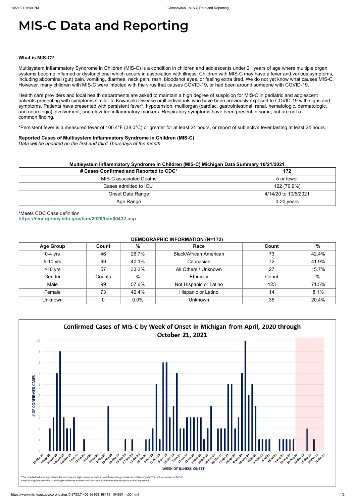# **MIS-C Data and Reporting**

#### **What is MIS-C?**

Multisystem Inflammatory Syndrome in Children (MIS-C) is a condition in children and adolescents under 21 years of age where multiple organ systems become inflamed or dysfunctional which occurs in association with illness. Children with MIS-C may have a fever and various symptoms, including abdominal (gut) pain, vomiting, diarrhea, neck pain, rash, bloodshot eyes, or feeling extra tired. We do not yet know what causes MIS-C. However, many children with MIS-C were infected with the virus that causes COVID-19, or had been around someone with COVID-19.

Health care providers and local health departments are asked to maintain a high degree of suspicion for MIS-C in pediatric and adolescent patients presenting with symptoms similar to Kawasaki Disease or ill individuals who have been previously exposed to COVID-19 with signs and symptoms. Patients have presented with persistent fever\*, hypotension, multiorgan (cardiac, gastrointestinal, renal, hematologic, dermatologic, and neurologic) involvement, and elevated inflammatory markers. Respiratory symptoms have been present in some, but are not a common finding.

\*Persistent fever is a measured fever of 100.4°F (38.0°C) or greater for at least 24 hours, or report of subjective fever lasting at least 24 hours.

#### **Reported Cases of Multisystem Inflammatory Syndrome in Children (MIS-C)**

*Data will be updated on the first and third Thursdays of the month.*

| Multisystem Inflammatory Syndrome in Children (MIS-C) Michigan Data Summary 10/21/2021 |  |  |  |  |
|----------------------------------------------------------------------------------------|--|--|--|--|
|----------------------------------------------------------------------------------------|--|--|--|--|

| # Cases Confirmed and Reported to CDC* | 172                  |
|----------------------------------------|----------------------|
| MIS-C associated Deaths                | 5 or fewer           |
| Cases admitted to ICU                  | 122 (70.9%)          |
| <b>Onset Date Range</b>                | 4/14/20 to 10/5/2021 |
| Age Range                              | $0-20$ years         |

\*Meets CDC Case definition **<https://emergency.cdc.gov/han/2020/han00432.asp>**

## **DEMOGRAPHIC INFORMATION (N=172)**

| <b>Age Group</b> | Count  | %             | Race                          | Count | $\%$          |
|------------------|--------|---------------|-------------------------------|-------|---------------|
| $0-4$ yrs        | 46     | 26.7%         | <b>Black/African American</b> | 73    | 42.4%         |
| 5-10 yrs         | 69     | 40.1%         | Caucasian                     | 72    | 41.9%         |
| $>10$ yrs        | 57     | 33.2%         | All Others / Unknown          | 27    | 15.7%         |
| Gender           | Counts | $\frac{0}{0}$ | Ethnicity                     | Count | $\frac{0}{0}$ |
| Male             | 99     | 57.6%         | Not Hispanic or Latino        | 123   | 71.5%         |
| Female           | 73     | 42.4%         | Hispanic or Latino            | 14    | 8.1%          |
| Unknown          |        | 0.0%          | <b>Unknown</b>                | 35    | 20.4%         |